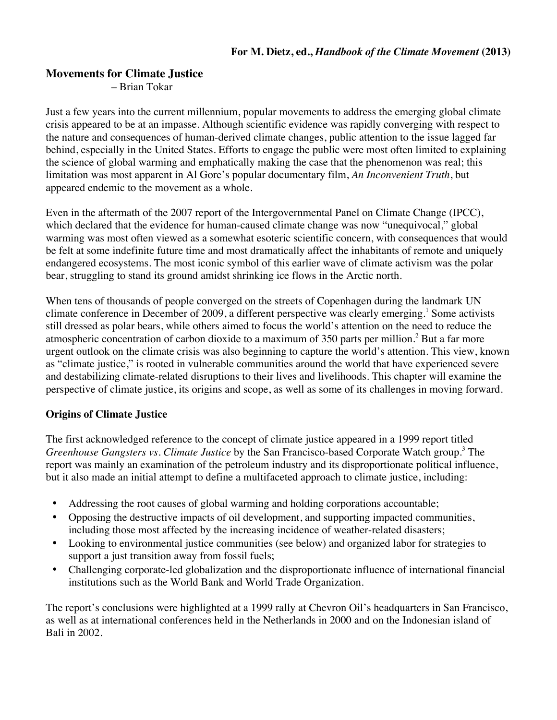# **Movements for Climate Justice**

– Brian Tokar

Just a few years into the current millennium, popular movements to address the emerging global climate crisis appeared to be at an impasse. Although scientific evidence was rapidly converging with respect to the nature and consequences of human-derived climate changes, public attention to the issue lagged far behind, especially in the United States. Efforts to engage the public were most often limited to explaining the science of global warming and emphatically making the case that the phenomenon was real; this limitation was most apparent in Al Gore's popular documentary film, *An Inconvenient Truth*, but appeared endemic to the movement as a whole.

Even in the aftermath of the 2007 report of the Intergovernmental Panel on Climate Change (IPCC), which declared that the evidence for human-caused climate change was now "unequivocal," global warming was most often viewed as a somewhat esoteric scientific concern, with consequences that would be felt at some indefinite future time and most dramatically affect the inhabitants of remote and uniquely endangered ecosystems. The most iconic symbol of this earlier wave of climate activism was the polar bear, struggling to stand its ground amidst shrinking ice flows in the Arctic north.

When tens of thousands of people converged on the streets of Copenhagen during the landmark UN climate conference in December of 2009, a different perspective was clearly emerging.<sup>1</sup> Some activists still dressed as polar bears, while others aimed to focus the world's attention on the need to reduce the atmospheric concentration of carbon dioxide to a maximum of 350 parts per million.<sup>2</sup> But a far more urgent outlook on the climate crisis was also beginning to capture the world's attention. This view, known as "climate justice," is rooted in vulnerable communities around the world that have experienced severe and destabilizing climate-related disruptions to their lives and livelihoods. This chapter will examine the perspective of climate justice, its origins and scope, as well as some of its challenges in moving forward.

## **Origins of Climate Justice**

The first acknowledged reference to the concept of climate justice appeared in a 1999 report titled *Greenhouse Gangsters vs. Climate Justice* by the San Francisco-based Corporate Watch group.<sup>3</sup> The report was mainly an examination of the petroleum industry and its disproportionate political influence, but it also made an initial attempt to define a multifaceted approach to climate justice, including:

- Addressing the root causes of global warming and holding corporations accountable;
- Opposing the destructive impacts of oil development, and supporting impacted communities, including those most affected by the increasing incidence of weather-related disasters;
- Looking to environmental justice communities (see below) and organized labor for strategies to support a just transition away from fossil fuels;
- Challenging corporate-led globalization and the disproportionate influence of international financial institutions such as the World Bank and World Trade Organization.

The report's conclusions were highlighted at a 1999 rally at Chevron Oil's headquarters in San Francisco, as well as at international conferences held in the Netherlands in 2000 and on the Indonesian island of Bali in 2002.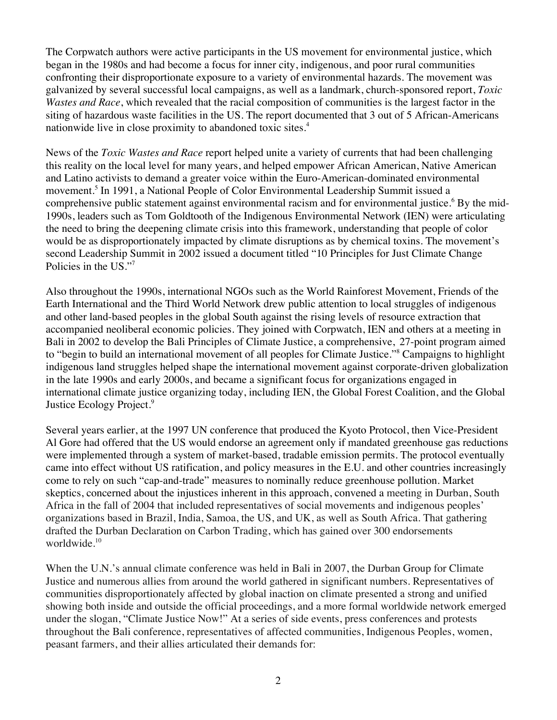The Corpwatch authors were active participants in the US movement for environmental justice, which began in the 1980s and had become a focus for inner city, indigenous, and poor rural communities confronting their disproportionate exposure to a variety of environmental hazards. The movement was galvanized by several successful local campaigns, as well as a landmark, church-sponsored report, *Toxic Wastes and Race*, which revealed that the racial composition of communities is the largest factor in the siting of hazardous waste facilities in the US. The report documented that 3 out of 5 African-Americans nationwide live in close proximity to abandoned toxic sites.<sup>4</sup>

News of the *Toxic Wastes and Race* report helped unite a variety of currents that had been challenging this reality on the local level for many years, and helped empower African American, Native American and Latino activists to demand a greater voice within the Euro-American-dominated environmental movement.<sup>5</sup> In 1991, a National People of Color Environmental Leadership Summit issued a comprehensive public statement against environmental racism and for environmental justice.<sup>6</sup> By the mid-1990s, leaders such as Tom Goldtooth of the Indigenous Environmental Network (IEN) were articulating the need to bring the deepening climate crisis into this framework, understanding that people of color would be as disproportionately impacted by climate disruptions as by chemical toxins. The movement's second Leadership Summit in 2002 issued a document titled "10 Principles for Just Climate Change Policies in the US."<sup>7</sup>

Also throughout the 1990s, international NGOs such as the World Rainforest Movement, Friends of the Earth International and the Third World Network drew public attention to local struggles of indigenous and other land-based peoples in the global South against the rising levels of resource extraction that accompanied neoliberal economic policies. They joined with Corpwatch, IEN and others at a meeting in Bali in 2002 to develop the Bali Principles of Climate Justice, a comprehensive, 27-point program aimed to "begin to build an international movement of all peoples for Climate Justice."<sup>8</sup> Campaigns to highlight indigenous land struggles helped shape the international movement against corporate-driven globalization in the late 1990s and early 2000s, and became a significant focus for organizations engaged in international climate justice organizing today, including IEN, the Global Forest Coalition, and the Global Justice Ecology Project.<sup>9</sup>

Several years earlier, at the 1997 UN conference that produced the Kyoto Protocol, then Vice-President Al Gore had offered that the US would endorse an agreement only if mandated greenhouse gas reductions were implemented through a system of market-based, tradable emission permits. The protocol eventually came into effect without US ratification, and policy measures in the E.U. and other countries increasingly come to rely on such "cap-and-trade" measures to nominally reduce greenhouse pollution. Market skeptics, concerned about the injustices inherent in this approach, convened a meeting in Durban, South Africa in the fall of 2004 that included representatives of social movements and indigenous peoples' organizations based in Brazil, India, Samoa, the US, and UK, as well as South Africa. That gathering drafted the Durban Declaration on Carbon Trading, which has gained over 300 endorsements worldwide.<sup>10</sup>

When the U.N.'s annual climate conference was held in Bali in 2007, the Durban Group for Climate Justice and numerous allies from around the world gathered in significant numbers. Representatives of communities disproportionately affected by global inaction on climate presented a strong and unified showing both inside and outside the official proceedings, and a more formal worldwide network emerged under the slogan, "Climate Justice Now!" At a series of side events, press conferences and protests throughout the Bali conference, representatives of affected communities, Indigenous Peoples, women, peasant farmers, and their allies articulated their demands for: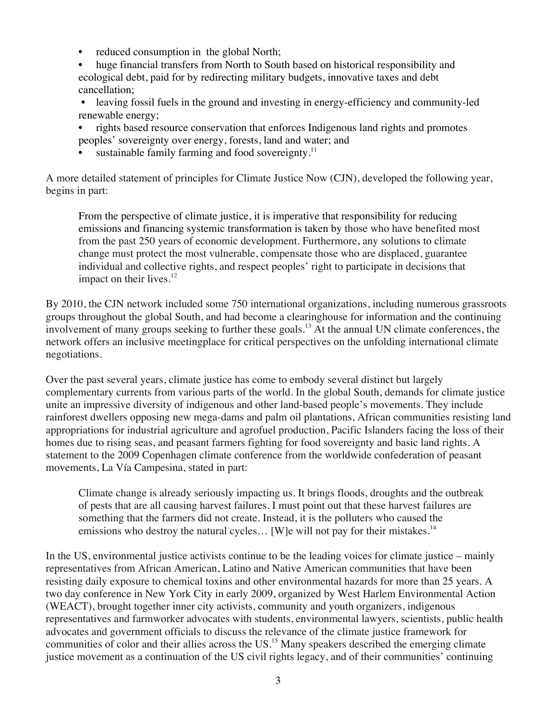- reduced consumption in the global North;
- huge financial transfers from North to South based on historical responsibility and ecological debt, paid for by redirecting military budgets, innovative taxes and debt cancellation;
- leaving fossil fuels in the ground and investing in energy-efficiency and community-led renewable energy;
- rights based resource conservation that enforces Indigenous land rights and promotes peoples' sovereignty over energy, forests, land and water; and
- sustainable family farming and food sovereignty. $^{11}$

A more detailed statement of principles for Climate Justice Now (CJN), developed the following year, begins in part:

From the perspective of climate justice, it is imperative that responsibility for reducing emissions and financing systemic transformation is taken by those who have benefited most from the past 250 years of economic development. Furthermore, any solutions to climate change must protect the most vulnerable, compensate those who are displaced, guarantee individual and collective rights, and respect peoples' right to participate in decisions that impact on their lives. $12$ 

By 2010, the CJN network included some 750 international organizations, including numerous grassroots groups throughout the global South, and had become a clearinghouse for information and the continuing involvement of many groups seeking to further these goals.<sup>13</sup> At the annual UN climate conferences, the network offers an inclusive meetingplace for critical perspectives on the unfolding international climate negotiations.

Over the past several years, climate justice has come to embody several distinct but largely complementary currents from various parts of the world. In the global South, demands for climate justice unite an impressive diversity of indigenous and other land-based people's movements. They include rainforest dwellers opposing new mega-dams and palm oil plantations, African communities resisting land appropriations for industrial agriculture and agrofuel production, Pacific Islanders facing the loss of their homes due to rising seas, and peasant farmers fighting for food sovereignty and basic land rights. A statement to the 2009 Copenhagen climate conference from the worldwide confederation of peasant movements, La Vía Campesina, stated in part:

Climate change is already seriously impacting us. It brings floods, droughts and the outbreak of pests that are all causing harvest failures. I must point out that these harvest failures are something that the farmers did not create. Instead, it is the polluters who caused the emissions who destroy the natural cycles... [W]e will not pay for their mistakes.<sup>14</sup>

In the US, environmental justice activists continue to be the leading voices for climate justice – mainly representatives from African American, Latino and Native American communities that have been resisting daily exposure to chemical toxins and other environmental hazards for more than 25 years. A two day conference in New York City in early 2009, organized by West Harlem Environmental Action (WEACT), brought together inner city activists, community and youth organizers, indigenous representatives and farmworker advocates with students, environmental lawyers, scientists, public health advocates and government officials to discuss the relevance of the climate justice framework for communities of color and their allies across the US.<sup>15</sup> Many speakers described the emerging climate justice movement as a continuation of the US civil rights legacy, and of their communities' continuing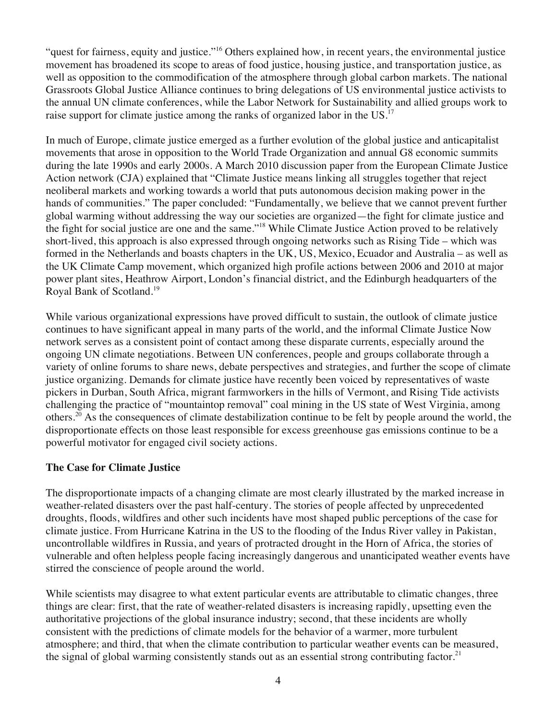"quest for fairness, equity and justice."<sup>16</sup> Others explained how, in recent years, the environmental justice movement has broadened its scope to areas of food justice, housing justice, and transportation justice, as well as opposition to the commodification of the atmosphere through global carbon markets. The national Grassroots Global Justice Alliance continues to bring delegations of US environmental justice activists to the annual UN climate conferences, while the Labor Network for Sustainability and allied groups work to raise support for climate justice among the ranks of organized labor in the US.<sup>17</sup>

In much of Europe, climate justice emerged as a further evolution of the global justice and anticapitalist movements that arose in opposition to the World Trade Organization and annual G8 economic summits during the late 1990s and early 2000s. A March 2010 discussion paper from the European Climate Justice Action network (CJA) explained that "Climate Justice means linking all struggles together that reject neoliberal markets and working towards a world that puts autonomous decision making power in the hands of communities." The paper concluded: "Fundamentally, we believe that we cannot prevent further global warming without addressing the way our societies are organized—the fight for climate justice and the fight for social justice are one and the same."18 While Climate Justice Action proved to be relatively short-lived, this approach is also expressed through ongoing networks such as Rising Tide – which was formed in the Netherlands and boasts chapters in the UK, US, Mexico, Ecuador and Australia – as well as the UK Climate Camp movement, which organized high profile actions between 2006 and 2010 at major power plant sites, Heathrow Airport, London's financial district, and the Edinburgh headquarters of the Royal Bank of Scotland.<sup>19</sup>

While various organizational expressions have proved difficult to sustain, the outlook of climate justice continues to have significant appeal in many parts of the world, and the informal Climate Justice Now network serves as a consistent point of contact among these disparate currents, especially around the ongoing UN climate negotiations. Between UN conferences, people and groups collaborate through a variety of online forums to share news, debate perspectives and strategies, and further the scope of climate justice organizing. Demands for climate justice have recently been voiced by representatives of waste pickers in Durban, South Africa, migrant farmworkers in the hills of Vermont, and Rising Tide activists challenging the practice of "mountaintop removal" coal mining in the US state of West Virginia, among others.<sup>20</sup> As the consequences of climate destabilization continue to be felt by people around the world, the disproportionate effects on those least responsible for excess greenhouse gas emissions continue to be a powerful motivator for engaged civil society actions.

## **The Case for Climate Justice**

The disproportionate impacts of a changing climate are most clearly illustrated by the marked increase in weather-related disasters over the past half-century. The stories of people affected by unprecedented droughts, floods, wildfires and other such incidents have most shaped public perceptions of the case for climate justice. From Hurricane Katrina in the US to the flooding of the Indus River valley in Pakistan, uncontrollable wildfires in Russia, and years of protracted drought in the Horn of Africa, the stories of vulnerable and often helpless people facing increasingly dangerous and unanticipated weather events have stirred the conscience of people around the world.

While scientists may disagree to what extent particular events are attributable to climatic changes, three things are clear: first, that the rate of weather-related disasters is increasing rapidly, upsetting even the authoritative projections of the global insurance industry; second, that these incidents are wholly consistent with the predictions of climate models for the behavior of a warmer, more turbulent atmosphere; and third, that when the climate contribution to particular weather events can be measured, the signal of global warming consistently stands out as an essential strong contributing factor.<sup>21</sup>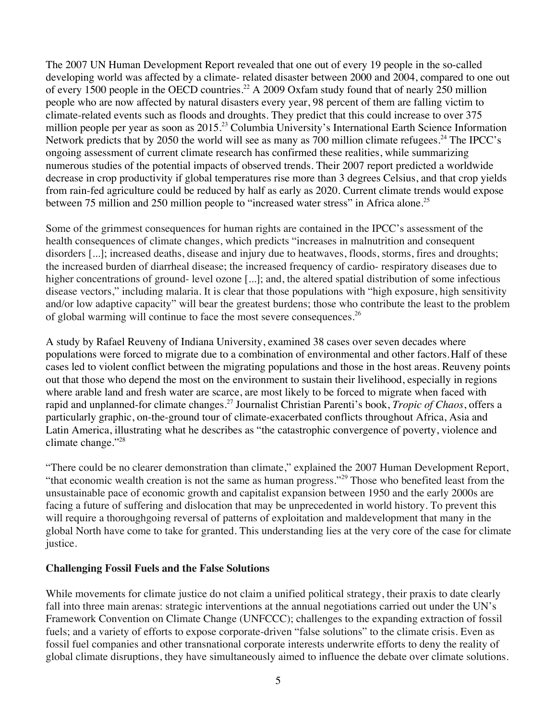The 2007 UN Human Development Report revealed that one out of every 19 people in the so-called developing world was affected by a climate- related disaster between 2000 and 2004, compared to one out of every 1500 people in the OECD countries.<sup>22</sup> A 2009 Oxfam study found that of nearly 250 million people who are now affected by natural disasters every year, 98 percent of them are falling victim to climate-related events such as floods and droughts. They predict that this could increase to over 375 million people per year as soon as 2015.<sup>23</sup> Columbia University's International Earth Science Information Network predicts that by 2050 the world will see as many as 700 million climate refugees.<sup>24</sup> The IPCC's ongoing assessment of current climate research has confirmed these realities, while summarizing numerous studies of the potential impacts of observed trends. Their 2007 report predicted a worldwide decrease in crop productivity if global temperatures rise more than 3 degrees Celsius, and that crop yields from rain-fed agriculture could be reduced by half as early as 2020. Current climate trends would expose between 75 million and 250 million people to "increased water stress" in Africa alone.<sup>25</sup>

Some of the grimmest consequences for human rights are contained in the IPCC's assessment of the health consequences of climate changes, which predicts "increases in malnutrition and consequent disorders [...]; increased deaths, disease and injury due to heatwaves, floods, storms, fires and droughts; the increased burden of diarrheal disease; the increased frequency of cardio- respiratory diseases due to higher concentrations of ground- level ozone [...]; and, the altered spatial distribution of some infectious disease vectors," including malaria. It is clear that those populations with "high exposure, high sensitivity and/or low adaptive capacity" will bear the greatest burdens; those who contribute the least to the problem of global warming will continue to face the most severe consequences.<sup>26</sup>

A study by Rafael Reuveny of Indiana University, examined 38 cases over seven decades where populations were forced to migrate due to a combination of environmental and other factors.Half of these cases led to violent conflict between the migrating populations and those in the host areas. Reuveny points out that those who depend the most on the environment to sustain their livelihood, especially in regions where arable land and fresh water are scarce, are most likely to be forced to migrate when faced with rapid and unplanned-for climate changes.<sup>27</sup> Journalist Christian Parenti's book, *Tropic of Chaos*, offers a particularly graphic, on-the-ground tour of climate-exacerbated conflicts throughout Africa, Asia and Latin America, illustrating what he describes as "the catastrophic convergence of poverty, violence and climate change."<sup>28</sup>

"There could be no clearer demonstration than climate," explained the 2007 Human Development Report, "that economic wealth creation is not the same as human progress."<sup>29</sup> Those who benefited least from the unsustainable pace of economic growth and capitalist expansion between 1950 and the early 2000s are facing a future of suffering and dislocation that may be unprecedented in world history. To prevent this will require a thoroughgoing reversal of patterns of exploitation and maldevelopment that many in the global North have come to take for granted. This understanding lies at the very core of the case for climate justice.

### **Challenging Fossil Fuels and the False Solutions**

While movements for climate justice do not claim a unified political strategy, their praxis to date clearly fall into three main arenas: strategic interventions at the annual negotiations carried out under the UN's Framework Convention on Climate Change (UNFCCC); challenges to the expanding extraction of fossil fuels; and a variety of efforts to expose corporate-driven "false solutions" to the climate crisis. Even as fossil fuel companies and other transnational corporate interests underwrite efforts to deny the reality of global climate disruptions, they have simultaneously aimed to influence the debate over climate solutions.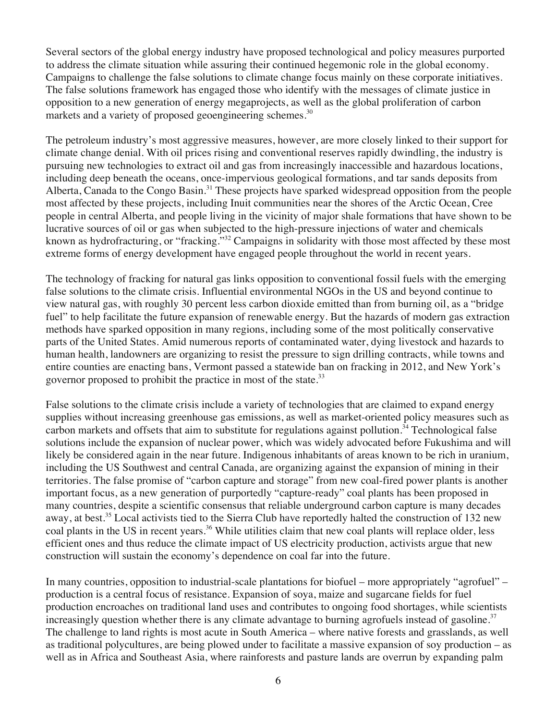Several sectors of the global energy industry have proposed technological and policy measures purported to address the climate situation while assuring their continued hegemonic role in the global economy. Campaigns to challenge the false solutions to climate change focus mainly on these corporate initiatives. The false solutions framework has engaged those who identify with the messages of climate justice in opposition to a new generation of energy megaprojects, as well as the global proliferation of carbon markets and a variety of proposed geoengineering schemes.<sup>30</sup>

The petroleum industry's most aggressive measures, however, are more closely linked to their support for climate change denial. With oil prices rising and conventional reserves rapidly dwindling, the industry is pursuing new technologies to extract oil and gas from increasingly inaccessible and hazardous locations, including deep beneath the oceans, once-impervious geological formations, and tar sands deposits from Alberta, Canada to the Congo Basin.<sup>31</sup> These projects have sparked widespread opposition from the people most affected by these projects, including Inuit communities near the shores of the Arctic Ocean, Cree people in central Alberta, and people living in the vicinity of major shale formations that have shown to be lucrative sources of oil or gas when subjected to the high-pressure injections of water and chemicals known as hydrofracturing, or "fracking."32 Campaigns in solidarity with those most affected by these most extreme forms of energy development have engaged people throughout the world in recent years.

The technology of fracking for natural gas links opposition to conventional fossil fuels with the emerging false solutions to the climate crisis. Influential environmental NGOs in the US and beyond continue to view natural gas, with roughly 30 percent less carbon dioxide emitted than from burning oil, as a "bridge fuel" to help facilitate the future expansion of renewable energy. But the hazards of modern gas extraction methods have sparked opposition in many regions, including some of the most politically conservative parts of the United States. Amid numerous reports of contaminated water, dying livestock and hazards to human health, landowners are organizing to resist the pressure to sign drilling contracts, while towns and entire counties are enacting bans, Vermont passed a statewide ban on fracking in 2012, and New York's governor proposed to prohibit the practice in most of the state. $33$ 

False solutions to the climate crisis include a variety of technologies that are claimed to expand energy supplies without increasing greenhouse gas emissions, as well as market-oriented policy measures such as carbon markets and offsets that aim to substitute for regulations against pollution.<sup>34</sup> Technological false solutions include the expansion of nuclear power, which was widely advocated before Fukushima and will likely be considered again in the near future. Indigenous inhabitants of areas known to be rich in uranium, including the US Southwest and central Canada, are organizing against the expansion of mining in their territories. The false promise of "carbon capture and storage" from new coal-fired power plants is another important focus, as a new generation of purportedly "capture-ready" coal plants has been proposed in many countries, despite a scientific consensus that reliable underground carbon capture is many decades away, at best.<sup>35</sup> Local activists tied to the Sierra Club have reportedly halted the construction of 132 new coal plants in the US in recent years.<sup>36</sup> While utilities claim that new coal plants will replace older, less efficient ones and thus reduce the climate impact of US electricity production, activists argue that new construction will sustain the economy's dependence on coal far into the future.

In many countries, opposition to industrial-scale plantations for biofuel – more appropriately "agrofuel" – production is a central focus of resistance. Expansion of soya, maize and sugarcane fields for fuel production encroaches on traditional land uses and contributes to ongoing food shortages, while scientists increasingly question whether there is any climate advantage to burning agrofuels instead of gasoline.<sup>37</sup> The challenge to land rights is most acute in South America – where native forests and grasslands, as well as traditional polycultures, are being plowed under to facilitate a massive expansion of soy production – as well as in Africa and Southeast Asia, where rainforests and pasture lands are overrun by expanding palm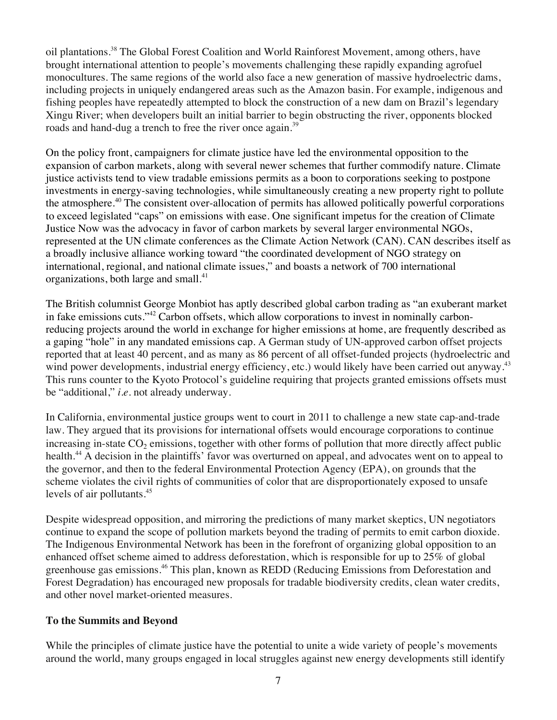oil plantations.38 The Global Forest Coalition and World Rainforest Movement, among others, have brought international attention to people's movements challenging these rapidly expanding agrofuel monocultures. The same regions of the world also face a new generation of massive hydroelectric dams, including projects in uniquely endangered areas such as the Amazon basin. For example, indigenous and fishing peoples have repeatedly attempted to block the construction of a new dam on Brazil's legendary Xingu River; when developers built an initial barrier to begin obstructing the river, opponents blocked roads and hand-dug a trench to free the river once again.<sup>39</sup>

On the policy front, campaigners for climate justice have led the environmental opposition to the expansion of carbon markets, along with several newer schemes that further commodify nature. Climate justice activists tend to view tradable emissions permits as a boon to corporations seeking to postpone investments in energy-saving technologies, while simultaneously creating a new property right to pollute the atmosphere.<sup>40</sup> The consistent over-allocation of permits has allowed politically powerful corporations to exceed legislated "caps" on emissions with ease. One significant impetus for the creation of Climate Justice Now was the advocacy in favor of carbon markets by several larger environmental NGOs, represented at the UN climate conferences as the Climate Action Network (CAN). CAN describes itself as a broadly inclusive alliance working toward "the coordinated development of NGO strategy on international, regional, and national climate issues," and boasts a network of 700 international organizations, both large and small.<sup>41</sup>

The British columnist George Monbiot has aptly described global carbon trading as "an exuberant market in fake emissions cuts."<sup>42</sup> Carbon offsets, which allow corporations to invest in nominally carbonreducing projects around the world in exchange for higher emissions at home, are frequently described as a gaping "hole" in any mandated emissions cap. A German study of UN-approved carbon offset projects reported that at least 40 percent, and as many as 86 percent of all offset-funded projects (hydroelectric and wind power developments, industrial energy efficiency, etc.) would likely have been carried out anyway.<sup>43</sup> This runs counter to the Kyoto Protocol's guideline requiring that projects granted emissions offsets must be "additional," *i.e.* not already underway.

In California, environmental justice groups went to court in 2011 to challenge a new state cap-and-trade law. They argued that its provisions for international offsets would encourage corporations to continue increasing in-state  $CO<sub>2</sub>$  emissions, together with other forms of pollution that more directly affect public health.<sup>44</sup> A decision in the plaintiffs' favor was overturned on appeal, and advocates went on to appeal to the governor, and then to the federal Environmental Protection Agency (EPA), on grounds that the scheme violates the civil rights of communities of color that are disproportionately exposed to unsafe levels of air pollutants.<sup>45</sup>

Despite widespread opposition, and mirroring the predictions of many market skeptics, UN negotiators continue to expand the scope of pollution markets beyond the trading of permits to emit carbon dioxide. The Indigenous Environmental Network has been in the forefront of organizing global opposition to an enhanced offset scheme aimed to address deforestation, which is responsible for up to 25% of global greenhouse gas emissions.<sup>46</sup> This plan, known as REDD (Reducing Emissions from Deforestation and Forest Degradation) has encouraged new proposals for tradable biodiversity credits, clean water credits, and other novel market-oriented measures.

## **To the Summits and Beyond**

While the principles of climate justice have the potential to unite a wide variety of people's movements around the world, many groups engaged in local struggles against new energy developments still identify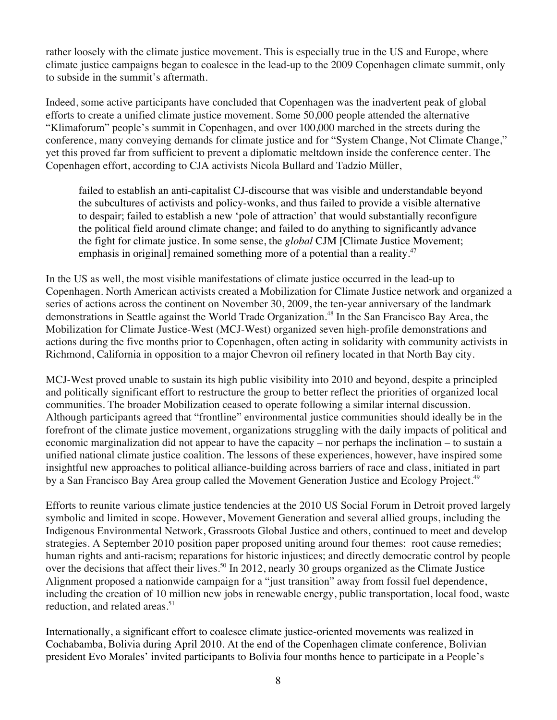rather loosely with the climate justice movement. This is especially true in the US and Europe, where climate justice campaigns began to coalesce in the lead-up to the 2009 Copenhagen climate summit, only to subside in the summit's aftermath.

Indeed, some active participants have concluded that Copenhagen was the inadvertent peak of global efforts to create a unified climate justice movement. Some 50,000 people attended the alternative "Klimaforum" people's summit in Copenhagen, and over 100,000 marched in the streets during the conference, many conveying demands for climate justice and for "System Change, Not Climate Change," yet this proved far from sufficient to prevent a diplomatic meltdown inside the conference center. The Copenhagen effort, according to CJA activists Nicola Bullard and Tadzio Müller,

failed to establish an anti-capitalist CJ-discourse that was visible and understandable beyond the subcultures of activists and policy-wonks, and thus failed to provide a visible alternative to despair; failed to establish a new 'pole of attraction' that would substantially reconfigure the political field around climate change; and failed to do anything to significantly advance the fight for climate justice. In some sense, the *global* CJM [Climate Justice Movement; emphasis in original] remained something more of a potential than a reality.<sup>47</sup>

In the US as well, the most visible manifestations of climate justice occurred in the lead-up to Copenhagen. North American activists created a Mobilization for Climate Justice network and organized a series of actions across the continent on November 30, 2009, the ten-year anniversary of the landmark demonstrations in Seattle against the World Trade Organization.<sup>48</sup> In the San Francisco Bay Area, the Mobilization for Climate Justice-West (MCJ-West) organized seven high-profile demonstrations and actions during the five months prior to Copenhagen, often acting in solidarity with community activists in Richmond, California in opposition to a major Chevron oil refinery located in that North Bay city.

MCJ-West proved unable to sustain its high public visibility into 2010 and beyond, despite a principled and politically significant effort to restructure the group to better reflect the priorities of organized local communities. The broader Mobilization ceased to operate following a similar internal discussion. Although participants agreed that "frontline" environmental justice communities should ideally be in the forefront of the climate justice movement, organizations struggling with the daily impacts of political and economic marginalization did not appear to have the capacity – nor perhaps the inclination – to sustain a unified national climate justice coalition. The lessons of these experiences, however, have inspired some insightful new approaches to political alliance-building across barriers of race and class, initiated in part by a San Francisco Bay Area group called the Movement Generation Justice and Ecology Project.<sup>49</sup>

Efforts to reunite various climate justice tendencies at the 2010 US Social Forum in Detroit proved largely symbolic and limited in scope. However, Movement Generation and several allied groups, including the Indigenous Environmental Network, Grassroots Global Justice and others, continued to meet and develop strategies. A September 2010 position paper proposed uniting around four themes: root cause remedies; human rights and anti-racism; reparations for historic injustices; and directly democratic control by people over the decisions that affect their lives.<sup>50</sup> In 2012, nearly 30 groups organized as the Climate Justice Alignment proposed a nationwide campaign for a "just transition" away from fossil fuel dependence, including the creation of 10 million new jobs in renewable energy, public transportation, local food, waste reduction, and related areas.<sup>51</sup>

Internationally, a significant effort to coalesce climate justice-oriented movements was realized in Cochabamba, Bolivia during April 2010. At the end of the Copenhagen climate conference, Bolivian president Evo Morales' invited participants to Bolivia four months hence to participate in a People's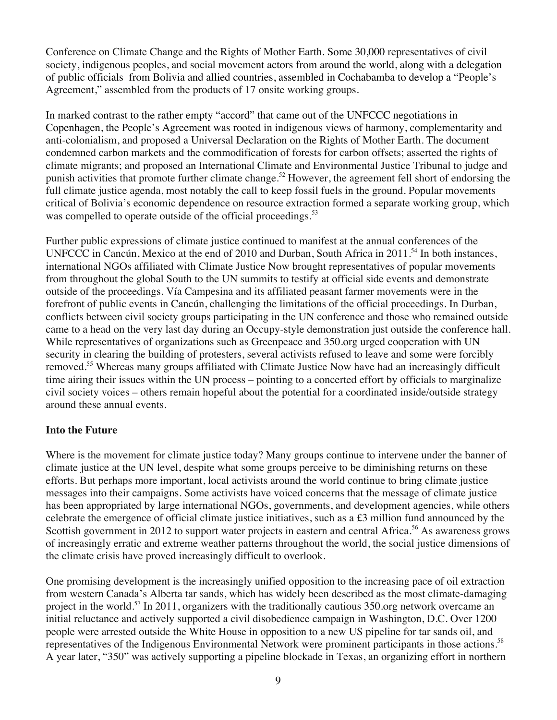Conference on Climate Change and the Rights of Mother Earth. Some 30,000 representatives of civil society, indigenous peoples, and social movement actors from around the world, along with a delegation of public officials from Bolivia and allied countries, assembled in Cochabamba to develop a "People's Agreement," assembled from the products of 17 onsite working groups.

In marked contrast to the rather empty "accord" that came out of the UNFCCC negotiations in Copenhagen, the People's Agreement was rooted in indigenous views of harmony, complementarity and anti-colonialism, and proposed a Universal Declaration on the Rights of Mother Earth. The document condemned carbon markets and the commodification of forests for carbon offsets; asserted the rights of climate migrants; and proposed an International Climate and Environmental Justice Tribunal to judge and punish activities that promote further climate change.<sup>52</sup> However, the agreement fell short of endorsing the full climate justice agenda, most notably the call to keep fossil fuels in the ground. Popular movements critical of Bolivia's economic dependence on resource extraction formed a separate working group, which was compelled to operate outside of the official proceedings.<sup>53</sup>

Further public expressions of climate justice continued to manifest at the annual conferences of the UNFCCC in Cancún, Mexico at the end of 2010 and Durban, South Africa in  $2011<sup>54</sup>$  In both instances, international NGOs affiliated with Climate Justice Now brought representatives of popular movements from throughout the global South to the UN summits to testify at official side events and demonstrate outside of the proceedings. Vía Campesina and its affiliated peasant farmer movements were in the forefront of public events in Cancún, challenging the limitations of the official proceedings. In Durban, conflicts between civil society groups participating in the UN conference and those who remained outside came to a head on the very last day during an Occupy-style demonstration just outside the conference hall. While representatives of organizations such as Greenpeace and 350.org urged cooperation with UN security in clearing the building of protesters, several activists refused to leave and some were forcibly removed.<sup>55</sup> Whereas many groups affiliated with Climate Justice Now have had an increasingly difficult time airing their issues within the UN process – pointing to a concerted effort by officials to marginalize civil society voices – others remain hopeful about the potential for a coordinated inside/outside strategy around these annual events.

## **Into the Future**

Where is the movement for climate justice today? Many groups continue to intervene under the banner of climate justice at the UN level, despite what some groups perceive to be diminishing returns on these efforts. But perhaps more important, local activists around the world continue to bring climate justice messages into their campaigns. Some activists have voiced concerns that the message of climate justice has been appropriated by large international NGOs, governments, and development agencies, while others celebrate the emergence of official climate justice initiatives, such as a £3 million fund announced by the Scottish government in 2012 to support water projects in eastern and central Africa.<sup>56</sup> As awareness grows of increasingly erratic and extreme weather patterns throughout the world, the social justice dimensions of the climate crisis have proved increasingly difficult to overlook.

One promising development is the increasingly unified opposition to the increasing pace of oil extraction from western Canada's Alberta tar sands, which has widely been described as the most climate-damaging project in the world.57 In 2011, organizers with the traditionally cautious 350.org network overcame an initial reluctance and actively supported a civil disobedience campaign in Washington, D.C. Over 1200 people were arrested outside the White House in opposition to a new US pipeline for tar sands oil, and representatives of the Indigenous Environmental Network were prominent participants in those actions.<sup>58</sup> A year later, "350" was actively supporting a pipeline blockade in Texas, an organizing effort in northern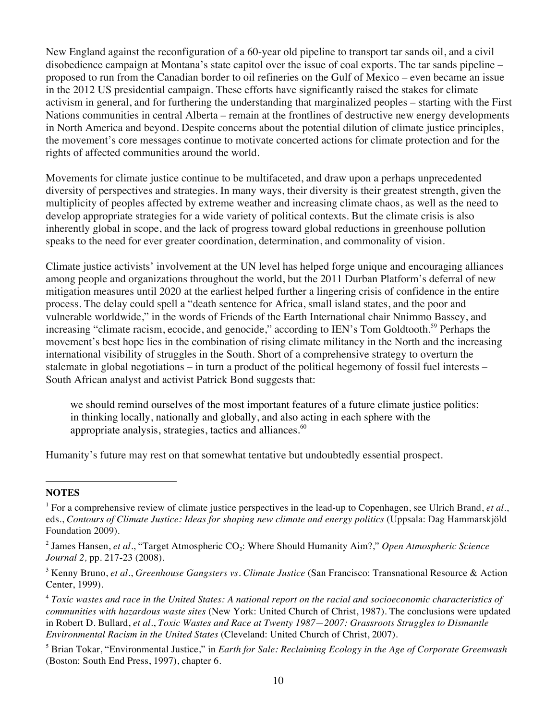New England against the reconfiguration of a 60-year old pipeline to transport tar sands oil, and a civil disobedience campaign at Montana's state capitol over the issue of coal exports. The tar sands pipeline – proposed to run from the Canadian border to oil refineries on the Gulf of Mexico – even became an issue in the 2012 US presidential campaign. These efforts have significantly raised the stakes for climate activism in general, and for furthering the understanding that marginalized peoples – starting with the First Nations communities in central Alberta – remain at the frontlines of destructive new energy developments in North America and beyond. Despite concerns about the potential dilution of climate justice principles, the movement's core messages continue to motivate concerted actions for climate protection and for the rights of affected communities around the world.

Movements for climate justice continue to be multifaceted, and draw upon a perhaps unprecedented diversity of perspectives and strategies. In many ways, their diversity is their greatest strength, given the multiplicity of peoples affected by extreme weather and increasing climate chaos, as well as the need to develop appropriate strategies for a wide variety of political contexts. But the climate crisis is also inherently global in scope, and the lack of progress toward global reductions in greenhouse pollution speaks to the need for ever greater coordination, determination, and commonality of vision.

Climate justice activists' involvement at the UN level has helped forge unique and encouraging alliances among people and organizations throughout the world, but the 2011 Durban Platform's deferral of new mitigation measures until 2020 at the earliest helped further a lingering crisis of confidence in the entire process. The delay could spell a "death sentence for Africa, small island states, and the poor and vulnerable worldwide," in the words of Friends of the Earth International chair Nnimmo Bassey, and increasing "climate racism, ecocide, and genocide," according to IEN's Tom Goldtooth.<sup>59</sup> Perhaps the movement's best hope lies in the combination of rising climate militancy in the North and the increasing international visibility of struggles in the South. Short of a comprehensive strategy to overturn the stalemate in global negotiations – in turn a product of the political hegemony of fossil fuel interests – South African analyst and activist Patrick Bond suggests that:

we should remind ourselves of the most important features of a future climate justice politics: in thinking locally, nationally and globally, and also acting in each sphere with the appropriate analysis, strategies, tactics and alliances.<sup>60</sup>

Humanity's future may rest on that somewhat tentative but undoubtedly essential prospect.

#### $\overline{a}$ **NOTES**

<sup>&</sup>lt;sup>1</sup> For a comprehensive review of climate justice perspectives in the lead-up to Copenhagen, see Ulrich Brand, *et al.*, eds., *Contours of Climate Justice: Ideas for shaping new climate and energy politics* (Uppsala: Dag Hammarskjöld Foundation 2009).

<sup>&</sup>lt;sup>2</sup> James Hansen, *et al.*, "Target Atmospheric CO<sub>2</sub>: Where Should Humanity Aim?," *Open Atmospheric Science Journal 2,* pp. 217-23 (2008).

<sup>3</sup> Kenny Bruno, *et al.*, *Greenhouse Gangsters vs. Climate Justice* (San Francisco: Transnational Resource & Action Center, 1999).

<sup>4</sup> *Toxic wastes and race in the United States: A national report on the racial and socioeconomic characteristics of communities with hazardous waste sites* (New York: United Church of Christ, 1987). The conclusions were updated in Robert D. Bullard, *et al.*, *Toxic Wastes and Race at Twenty 1987—2007: Grassroots Struggles to Dismantle Environmental Racism in the United States* (Cleveland: United Church of Christ, 2007).

<sup>5</sup> Brian Tokar, "Environmental Justice," in *Earth for Sale: Reclaiming Ecology in the Age of Corporate Greenwash*  (Boston: South End Press, 1997), chapter 6.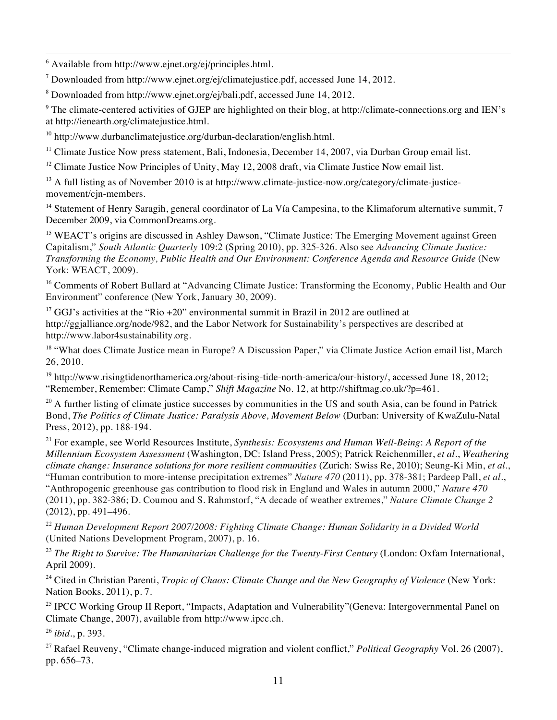6 Available from http://www.ejnet.org/ej/principles.html.

<sup>7</sup> Downloaded from http://www.ejnet.org/ej/climatejustice.pdf, accessed June 14, 2012.

<sup>8</sup> Downloaded from http://www.ejnet.org/ej/bali.pdf, accessed June 14, 2012.

<sup>9</sup> The climate-centered activities of GJEP are highlighted on their blog, at http://climate-connections.org and IEN's at http://ienearth.org/climatejustice.html.

<sup>10</sup> http://www.durbanclimatejustice.org/durban-declaration/english.html.

 $11$  Climate Justice Now press statement, Bali, Indonesia, December 14, 2007, via Durban Group email list.

 $12$  Climate Justice Now Principles of Unity, May 12, 2008 draft, via Climate Justice Now email list.

<sup>13</sup> A full listing as of November 2010 is at http://www.climate-justice-now.org/category/climate-justicemovement/cjn-members.

<sup>14</sup> Statement of Henry Saragih, general coordinator of La Vía Campesina, to the Klimaforum alternative summit, 7 December 2009, via CommonDreams.org.

<sup>15</sup> WEACT's origins are discussed in Ashley Dawson, "Climate Justice: The Emerging Movement against Green Capitalism," *South Atlantic Quarterly* 109:2 (Spring 2010), pp. 325-326. Also see *Advancing Climate Justice: Transforming the Economy, Public Health and Our Environment: Conference Agenda and Resource Guide* (New York: WEACT, 2009).

<sup>16</sup> Comments of Robert Bullard at "Advancing Climate Justice: Transforming the Economy, Public Health and Our Environment" conference (New York, January 30, 2009).

<sup>17</sup> GGJ's activities at the "Rio  $+20$ " environmental summit in Brazil in 2012 are outlined at http://ggjalliance.org/node/982, and the Labor Network for Sustainability's perspectives are described at http://www.labor4sustainability.org.

<sup>18</sup> "What does Climate Justice mean in Europe? A Discussion Paper," via Climate Justice Action email list, March 26, 2010.

<sup>19</sup> http://www.risingtidenorthamerica.org/about-rising-tide-north-america/our-history/, accessed June 18, 2012; "Remember, Remember: Climate Camp," *Shift Magazine* No. 12, at http://shiftmag.co.uk/?p=461.

<sup>20</sup> A further listing of climate justice successes by communities in the US and south Asia, can be found in Patrick Bond, *The Politics of Climate Justice: Paralysis Above, Movement Below* (Durban: University of KwaZulu-Natal Press, 2012), pp. 188-194.

<sup>21</sup> For example, see World Resources Institute, *Synthesis: Ecosystems and Human Well-Being*: *A Report of the Millennium Ecosystem Assessment* (Washington, DC: Island Press, 2005); Patrick Reichenmiller, *et al.*, *Weathering climate change: Insurance solutions for more resilient communities* (Zurich: Swiss Re, 2010); Seung-Ki Min, *et al.*,

"Human contribution to more-intense precipitation extremes" *Nature 470* (2011), pp. 378-381; Pardeep Pall, *et al.*, "Anthropogenic greenhouse gas contribution to flood risk in England and Wales in autumn 2000," *Nature 470* (2011), pp. 382-386; D. Coumou and S. Rahmstorf, "A decade of weather extremes," *Nature Climate Change 2* (2012), pp. 491–496.

<sup>22</sup> *Human Development Report 2007/2008: Fighting Climate Change: Human Solidarity in a Divided World*  (United Nations Development Program, 2007), p. 16.

<sup>23</sup> The Right to Survive: The Humanitarian Challenge for the Twenty-First Century (London: Oxfam International, April 2009).

<sup>24</sup> Cited in Christian Parenti, *Tropic of Chaos: Climate Change and the New Geography of Violence* (New York: Nation Books, 2011), p. 7.

<sup>25</sup> IPCC Working Group II Report, "Impacts, Adaptation and Vulnerability" (Geneva: Intergovernmental Panel on Climate Change, 2007), available from http://www.ipcc.ch.

<sup>26</sup> *ibid.*, p. 393.

<sup>27</sup> Rafael Reuveny, "Climate change-induced migration and violent conflict," *Political Geography* Vol. 26 (2007), pp. 656–73.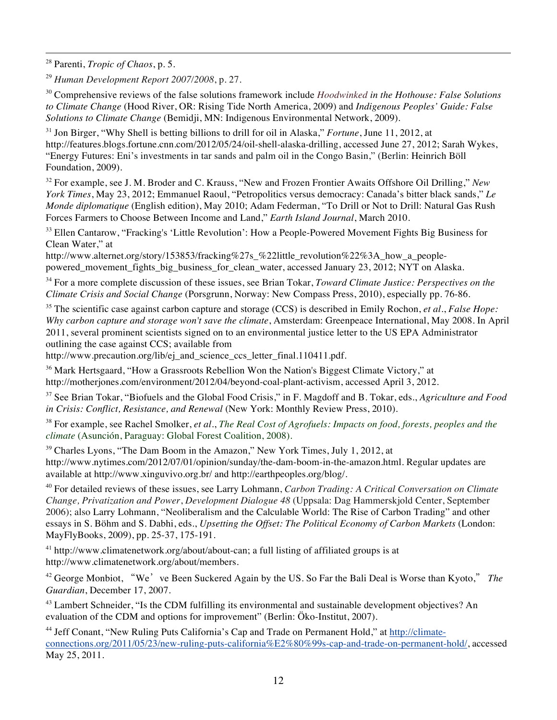<sup>30</sup> Comprehensive reviews of the false solutions framework include *Hoodwinked in the Hothouse: False Solutions to Climate Change* (Hood River, OR: Rising Tide North America, 2009) and *Indigenous Peoples' Guide: False Solutions to Climate Change* (Bemidji, MN: Indigenous Environmental Network, 2009).

<sup>31</sup> Jon Birger, "Why Shell is betting billions to drill for oil in Alaska," *Fortune*, June 11, 2012, at http://features.blogs.fortune.cnn.com/2012/05/24/oil-shell-alaska-drilling, accessed June 27, 2012; Sarah Wykes, "Energy Futures: Eni's investments in tar sands and palm oil in the Congo Basin," (Berlin: Heinrich Böll Foundation, 2009).

<sup>32</sup> For example, see J. M. Broder and C. Krauss, "New and Frozen Frontier Awaits Offshore Oil Drilling," *New York Times*, May 23, 2012; Emmanuel Raoul, "Petropolitics versus democracy: Canada's bitter black sands," *Le Monde diplomatique* (English edition), May 2010; Adam Federman, "To Drill or Not to Drill: Natural Gas Rush Forces Farmers to Choose Between Income and Land," *Earth Island Journal*, March 2010.

<sup>33</sup> Ellen Cantarow, "Fracking's 'Little Revolution': How a People-Powered Movement Fights Big Business for Clean Water," at

http://www.alternet.org/story/153853/fracking%27s\_%22little\_revolution%22%3A\_how\_a\_peoplepowered\_movement\_fights\_big\_business\_for\_clean\_water, accessed January 23, 2012; NYT on Alaska.

<sup>34</sup> For a more complete discussion of these issues, see Brian Tokar, *Toward Climate Justice: Perspectives on the Climate Crisis and Social Change* (Porsgrunn, Norway: New Compass Press, 2010), especially pp. 76-86.

<sup>35</sup> The scientific case against carbon capture and storage (CCS) is described in Emily Rochon, *et al.*, *False Hope: Why carbon capture and storage won't save the climate*, Amsterdam: Greenpeace International, May 2008. In April 2011, several prominent scientists signed on to an environmental justice letter to the US EPA Administrator outlining the case against CCS; available from

http://www.precaution.org/lib/ej\_and\_science\_ccs\_letter\_final.110411.pdf.

<sup>36</sup> Mark Hertsgaard, "How a Grassroots Rebellion Won the Nation's Biggest Climate Victory," at http://motheriones.com/environment/2012/04/beyond-coal-plant-activism, accessed April 3, 2012.

<sup>37</sup> See Brian Tokar, "Biofuels and the Global Food Crisis," in F. Magdoff and B. Tokar, eds., *Agriculture and Food in Crisis: Conflict, Resistance, and Renewal* (New York: Monthly Review Press, 2010).

<sup>38</sup> For example, see Rachel Smolker, *et al.*, *The Real Cost of Agrofuels: Impacts on food, forests, peoples and the climate* (Asunción, Paraguay: Global Forest Coalition, 2008).

<sup>39</sup> Charles Lyons, "The Dam Boom in the Amazon," New York Times, July 1, 2012, at http://www.nytimes.com/2012/07/01/opinion/sunday/the-dam-boom-in-the-amazon.html. Regular updates are available at http://www.xinguvivo.org.br/ and http://earthpeoples.org/blog/.

<sup>40</sup> For detailed reviews of these issues, see Larry Lohmann, *Carbon Trading: A Critical Conversation on Climate Change, Privatization and Power*, *Development Dialogue 48* (Uppsala: Dag Hammerskjold Center, September 2006); also Larry Lohmann, "Neoliberalism and the Calculable World: The Rise of Carbon Trading" and other essays in S. Böhm and S. Dabhi, eds., *Upsetting the Offset: The Political Economy of Carbon Markets* (London: MayFlyBooks, 2009), pp. 25-37, 175-191.

<sup>41</sup> http://www.climatenetwork.org/about/about-can; a full listing of affiliated groups is at http://www.climatenetwork.org/about/members.

<sup>42</sup> George Monbiot, "We've Been Suckered Again by the US. So Far the Bali Deal is Worse than Kyoto," *The Guardian*, December 17, 2007.

<sup>43</sup> Lambert Schneider, "Is the CDM fulfilling its environmental and sustainable development objectives? An evaluation of the CDM and options for improvement" (Berlin: Öko-Institut, 2007).

<sup>44</sup> Jeff Conant, "New Ruling Puts California's Cap and Trade on Permanent Hold," at http://climateconnections.org/2011/05/23/new-ruling-puts-california%E2%80%99s-cap-and-trade-on-permanent-hold/, accessed May 25, 2011.

 <sup>28</sup> Parenti, *Tropic of Chaos*, p. 5.

<sup>29</sup> *Human Development Report 2007/2008*, p. 27.